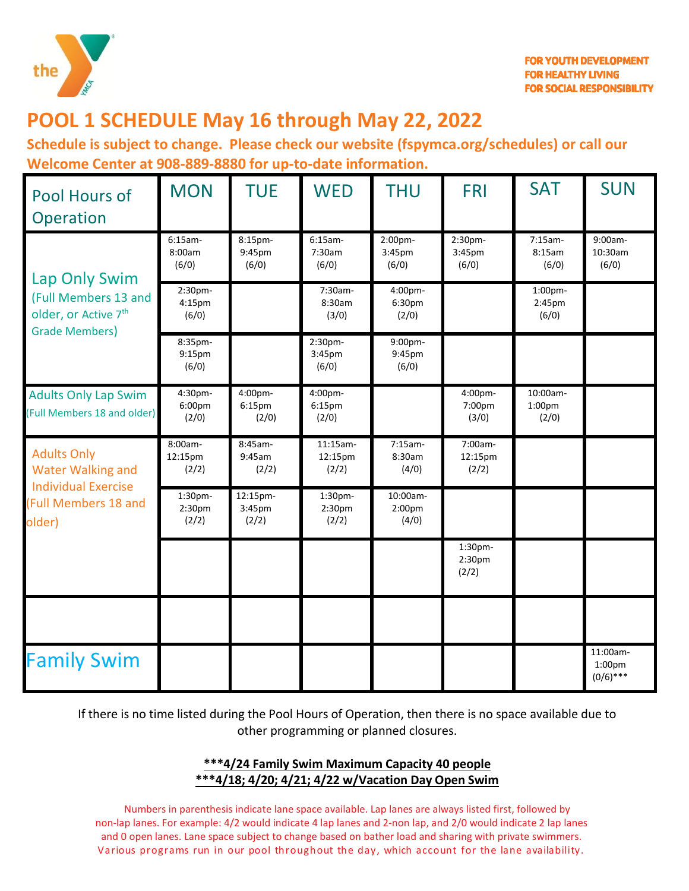

# **POOL 1 SCHEDULE May 16 through May 22, 2022**

**Schedule is subject to change. Please check our website (fspymca.org/schedules) or call our Welcome Center at 908-889-8880 for up-to-date information.** 

| Pool Hours of<br>Operation                                                                                            | <b>MON</b>                             | <b>TUE</b>                             | <b>WED</b>                   | <b>THU</b>                  | <b>FRI</b>                  | <b>SAT</b>                              | <b>SUN</b>                                    |
|-----------------------------------------------------------------------------------------------------------------------|----------------------------------------|----------------------------------------|------------------------------|-----------------------------|-----------------------------|-----------------------------------------|-----------------------------------------------|
| Lap Only Swim<br>(Full Members 13 and<br>older, or Active 7 <sup>th</sup><br><b>Grade Members)</b>                    | $6:15am -$<br>8:00am<br>(6/0)          | 8:15pm-<br>9:45pm<br>(6/0)             | $6:15am-$<br>7:30am<br>(6/0) | 2:00pm-<br>3:45pm<br>(6/0)  | 2:30pm-<br>3:45pm<br>(6/0)  | $7:15am-$<br>8:15am<br>(6/0)            | 9:00am-<br>10:30am<br>(6/0)                   |
|                                                                                                                       | 2:30pm-<br>4:15pm<br>(6/0)             |                                        | 7:30am-<br>8:30am<br>(3/0)   | 4:00pm-<br>6:30pm<br>(2/0)  |                             | 1:00pm-<br>2:45pm<br>(6/0)              |                                               |
|                                                                                                                       | 8:35pm-<br>9:15pm<br>(6/0)             |                                        | 2:30pm-<br>3:45pm<br>(6/0)   | 9:00pm-<br>9:45pm<br>(6/0)  |                             |                                         |                                               |
| <b>Adults Only Lap Swim</b><br>(Full Members 18 and older)                                                            | 4:30pm-<br>6:00 <sub>pm</sub><br>(2/0) | 4:00pm-<br>6:15 <sub>pm</sub><br>(2/0) | 4:00pm-<br>6:15pm<br>(2/0)   |                             | 4:00pm-<br>7:00pm<br>(3/0)  | 10:00am-<br>1:00 <sub>pm</sub><br>(2/0) |                                               |
| <b>Adults Only</b><br><b>Water Walking and</b><br><b>Individual Exercise</b><br><b>(Full Members 18 and</b><br>older) | 8:00am-<br>12:15pm<br>(2/2)            | 8:45am-<br>9:45am<br>(2/2)             | 11:15am-<br>12:15pm<br>(2/2) | 7:15am-<br>8:30am<br>(4/0)  | 7:00am-<br>12:15pm<br>(2/2) |                                         |                                               |
|                                                                                                                       | 1:30pm-<br>2:30pm<br>(2/2)             | 12:15pm-<br>3:45pm<br>(2/2)            | 1:30pm-<br>2:30pm<br>(2/2)   | 10:00am-<br>2:00pm<br>(4/0) |                             |                                         |                                               |
|                                                                                                                       |                                        |                                        |                              |                             | 1:30pm-<br>2:30pm<br>(2/2)  |                                         |                                               |
|                                                                                                                       |                                        |                                        |                              |                             |                             |                                         |                                               |
| <b>Family Swim</b>                                                                                                    |                                        |                                        |                              |                             |                             |                                         | 11:00am-<br>1:00 <sub>pm</sub><br>$(0/6)$ *** |

If there is no time listed during the Pool Hours of Operation, then there is no space available due to other programming or planned closures.

#### **\*\*\*4/24 Family Swim Maximum Capacity 40 people \*\*\*4/18; 4/20; 4/21; 4/22 w/Vacation Day Open Swim**

Numbers in parenthesis indicate lane space available. Lap lanes are always listed first, followed by non-lap lanes. For example: 4/2 would indicate 4 lap lanes and 2-non lap, and 2/0 would indicate 2 lap lanes and 0 open lanes. Lane space subject to change based on bather load and sharing with private swimmers. Various programs run in our pool throughout the day, which account for the lane availability.